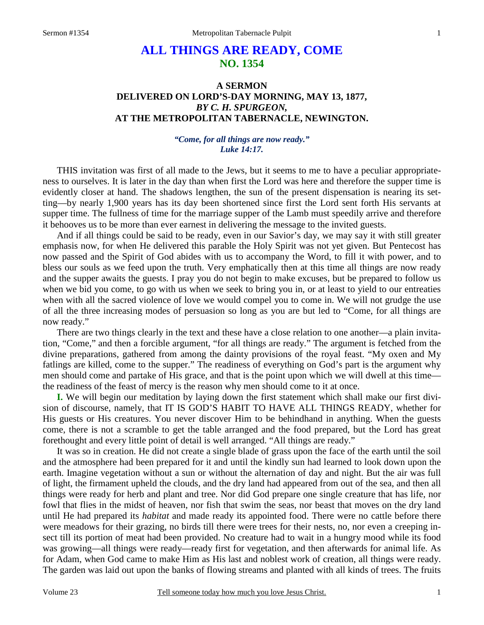# **ALL THINGS ARE READY, COME NO. 1354**

# **A SERMON DELIVERED ON LORD'S-DAY MORNING, MAY 13, 1877,**  *BY C. H. SPURGEON,*  **AT THE METROPOLITAN TABERNACLE, NEWINGTON.**

### *"Come, for all things are now ready." Luke 14:17.*

THIS invitation was first of all made to the Jews, but it seems to me to have a peculiar appropriateness to ourselves. It is later in the day than when first the Lord was here and therefore the supper time is evidently closer at hand. The shadows lengthen, the sun of the present dispensation is nearing its setting—by nearly 1,900 years has its day been shortened since first the Lord sent forth His servants at supper time. The fullness of time for the marriage supper of the Lamb must speedily arrive and therefore it behooves us to be more than ever earnest in delivering the message to the invited guests.

And if all things could be said to be ready, even in our Savior's day, we may say it with still greater emphasis now, for when He delivered this parable the Holy Spirit was not yet given. But Pentecost has now passed and the Spirit of God abides with us to accompany the Word, to fill it with power, and to bless our souls as we feed upon the truth. Very emphatically then at this time all things are now ready and the supper awaits the guests. I pray you do not begin to make excuses, but be prepared to follow us when we bid you come, to go with us when we seek to bring you in, or at least to yield to our entreaties when with all the sacred violence of love we would compel you to come in. We will not grudge the use of all the three increasing modes of persuasion so long as you are but led to "Come, for all things are now ready."

There are two things clearly in the text and these have a close relation to one another—a plain invitation, "Come," and then a forcible argument, "for all things are ready." The argument is fetched from the divine preparations, gathered from among the dainty provisions of the royal feast. "My oxen and My fatlings are killed, come to the supper." The readiness of everything on God's part is the argument why men should come and partake of His grace, and that is the point upon which we will dwell at this time the readiness of the feast of mercy is the reason why men should come to it at once.

**I.** We will begin our meditation by laying down the first statement which shall make our first division of discourse, namely, that IT IS GOD'S HABIT TO HAVE ALL THINGS READY, whether for His guests or His creatures. You never discover Him to be behindhand in anything. When the guests come, there is not a scramble to get the table arranged and the food prepared, but the Lord has great forethought and every little point of detail is well arranged. "All things are ready."

It was so in creation. He did not create a single blade of grass upon the face of the earth until the soil and the atmosphere had been prepared for it and until the kindly sun had learned to look down upon the earth. Imagine vegetation without a sun or without the alternation of day and night. But the air was full of light, the firmament upheld the clouds, and the dry land had appeared from out of the sea, and then all things were ready for herb and plant and tree. Nor did God prepare one single creature that has life, nor fowl that flies in the midst of heaven, nor fish that swim the seas, nor beast that moves on the dry land until He had prepared its *habitat* and made ready its appointed food. There were no cattle before there were meadows for their grazing, no birds till there were trees for their nests, no, nor even a creeping insect till its portion of meat had been provided. No creature had to wait in a hungry mood while its food was growing—all things were ready—ready first for vegetation, and then afterwards for animal life. As for Adam, when God came to make Him as His last and noblest work of creation, all things were ready. The garden was laid out upon the banks of flowing streams and planted with all kinds of trees. The fruits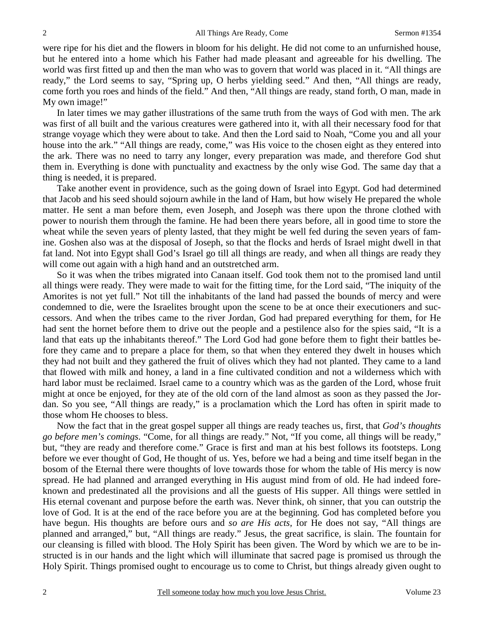were ripe for his diet and the flowers in bloom for his delight. He did not come to an unfurnished house, but he entered into a home which his Father had made pleasant and agreeable for his dwelling. The world was first fitted up and then the man who was to govern that world was placed in it. "All things are ready," the Lord seems to say, "Spring up, O herbs yielding seed." And then, "All things are ready, come forth you roes and hinds of the field." And then, "All things are ready, stand forth, O man, made in My own image!"

In later times we may gather illustrations of the same truth from the ways of God with men. The ark was first of all built and the various creatures were gathered into it, with all their necessary food for that strange voyage which they were about to take. And then the Lord said to Noah, "Come you and all your house into the ark." "All things are ready, come," was His voice to the chosen eight as they entered into the ark. There was no need to tarry any longer, every preparation was made, and therefore God shut them in. Everything is done with punctuality and exactness by the only wise God. The same day that a thing is needed, it is prepared.

Take another event in providence, such as the going down of Israel into Egypt. God had determined that Jacob and his seed should sojourn awhile in the land of Ham, but how wisely He prepared the whole matter. He sent a man before them, even Joseph, and Joseph was there upon the throne clothed with power to nourish them through the famine. He had been there years before, all in good time to store the wheat while the seven years of plenty lasted, that they might be well fed during the seven years of famine. Goshen also was at the disposal of Joseph, so that the flocks and herds of Israel might dwell in that fat land. Not into Egypt shall God's Israel go till all things are ready, and when all things are ready they will come out again with a high hand and an outstretched arm.

So it was when the tribes migrated into Canaan itself. God took them not to the promised land until all things were ready. They were made to wait for the fitting time, for the Lord said, "The iniquity of the Amorites is not yet full." Not till the inhabitants of the land had passed the bounds of mercy and were condemned to die, were the Israelites brought upon the scene to be at once their executioners and successors. And when the tribes came to the river Jordan, God had prepared everything for them, for He had sent the hornet before them to drive out the people and a pestilence also for the spies said, "It is a land that eats up the inhabitants thereof." The Lord God had gone before them to fight their battles before they came and to prepare a place for them, so that when they entered they dwelt in houses which they had not built and they gathered the fruit of olives which they had not planted. They came to a land that flowed with milk and honey, a land in a fine cultivated condition and not a wilderness which with hard labor must be reclaimed. Israel came to a country which was as the garden of the Lord, whose fruit might at once be enjoyed, for they ate of the old corn of the land almost as soon as they passed the Jordan. So you see, "All things are ready," is a proclamation which the Lord has often in spirit made to those whom He chooses to bless.

Now the fact that in the great gospel supper all things are ready teaches us, first, that *God's thoughts go before men's comings.* "Come, for all things are ready." Not, "If you come, all things will be ready," but, "they are ready and therefore come." Grace is first and man at his best follows its footsteps. Long before we ever thought of God, He thought of us. Yes, before we had a being and time itself began in the bosom of the Eternal there were thoughts of love towards those for whom the table of His mercy is now spread. He had planned and arranged everything in His august mind from of old. He had indeed foreknown and predestinated all the provisions and all the guests of His supper. All things were settled in His eternal covenant and purpose before the earth was. Never think, oh sinner, that you can outstrip the love of God. It is at the end of the race before you are at the beginning. God has completed before you have begun. His thoughts are before ours and *so are His acts,* for He does not say, "All things are planned and arranged," but, "All things are ready." Jesus, the great sacrifice, is slain. The fountain for our cleansing is filled with blood. The Holy Spirit has been given. The Word by which we are to be instructed is in our hands and the light which will illuminate that sacred page is promised us through the Holy Spirit. Things promised ought to encourage us to come to Christ, but things already given ought to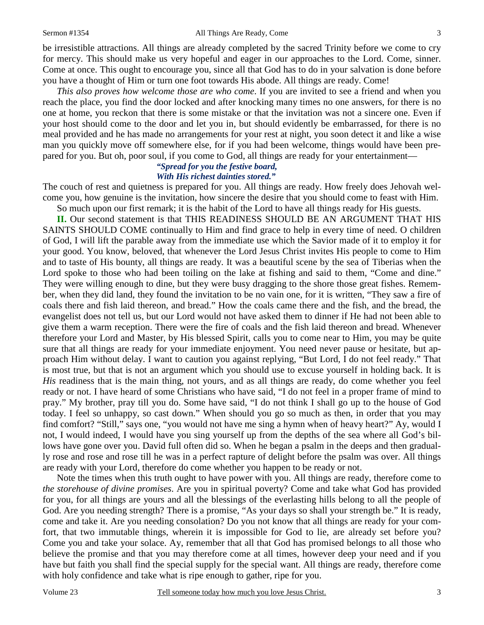be irresistible attractions. All things are already completed by the sacred Trinity before we come to cry for mercy. This should make us very hopeful and eager in our approaches to the Lord. Come, sinner. Come at once. This ought to encourage you, since all that God has to do in your salvation is done before you have a thought of Him or turn one foot towards His abode. All things are ready. Come!

*This also proves how welcome those are who come*. If you are invited to see a friend and when you reach the place, you find the door locked and after knocking many times no one answers, for there is no one at home, you reckon that there is some mistake or that the invitation was not a sincere one. Even if your host should come to the door and let you in, but should evidently be embarrassed, for there is no meal provided and he has made no arrangements for your rest at night, you soon detect it and like a wise man you quickly move off somewhere else, for if you had been welcome, things would have been prepared for you. But oh, poor soul, if you come to God, all things are ready for your entertainment—

#### *"Spread for you the festive board, With His richest dainties stored."*

The couch of rest and quietness is prepared for you. All things are ready. How freely does Jehovah welcome you, how genuine is the invitation, how sincere the desire that you should come to feast with Him. So much upon our first remark; it is the habit of the Lord to have all things ready for His guests.

**II.** Our second statement is that THIS READINESS SHOULD BE AN ARGUMENT THAT HIS SAINTS SHOULD COME continually to Him and find grace to help in every time of need. O children of God, I will lift the parable away from the immediate use which the Savior made of it to employ it for your good. You know, beloved, that whenever the Lord Jesus Christ invites His people to come to Him and to taste of His bounty, all things are ready. It was a beautiful scene by the sea of Tiberias when the Lord spoke to those who had been toiling on the lake at fishing and said to them, "Come and dine." They were willing enough to dine, but they were busy dragging to the shore those great fishes. Remember, when they did land, they found the invitation to be no vain one, for it is written, "They saw a fire of coals there and fish laid thereon, and bread." How the coals came there and the fish, and the bread, the evangelist does not tell us, but our Lord would not have asked them to dinner if He had not been able to give them a warm reception. There were the fire of coals and the fish laid thereon and bread. Whenever therefore your Lord and Master, by His blessed Spirit, calls you to come near to Him, you may be quite sure that all things are ready for your immediate enjoyment. You need never pause or hesitate, but approach Him without delay. I want to caution you against replying, "But Lord, I do not feel ready." That is most true, but that is not an argument which you should use to excuse yourself in holding back. It is *His* readiness that is the main thing, not yours, and as all things are ready, do come whether you feel ready or not. I have heard of some Christians who have said, "I do not feel in a proper frame of mind to pray." My brother, pray till you do. Some have said, "I do not think I shall go up to the house of God today. I feel so unhappy, so cast down." When should you go so much as then, in order that you may find comfort? "Still," says one, "you would not have me sing a hymn when of heavy heart?" Ay, would I not, I would indeed, I would have you sing yourself up from the depths of the sea where all God's billows have gone over you. David full often did so. When he began a psalm in the deeps and then gradually rose and rose and rose till he was in a perfect rapture of delight before the psalm was over. All things are ready with your Lord, therefore do come whether you happen to be ready or not.

Note the times when this truth ought to have power with you. All things are ready, therefore come to *the storehouse of divine promises*. Are you in spiritual poverty? Come and take what God has provided for you, for all things are yours and all the blessings of the everlasting hills belong to all the people of God. Are you needing strength? There is a promise, "As your days so shall your strength be." It is ready, come and take it. Are you needing consolation? Do you not know that all things are ready for your comfort, that two immutable things, wherein it is impossible for God to lie, are already set before you? Come you and take your solace. Ay, remember that all that God has promised belongs to all those who believe the promise and that you may therefore come at all times, however deep your need and if you have but faith you shall find the special supply for the special want. All things are ready, therefore come with holy confidence and take what is ripe enough to gather, ripe for you.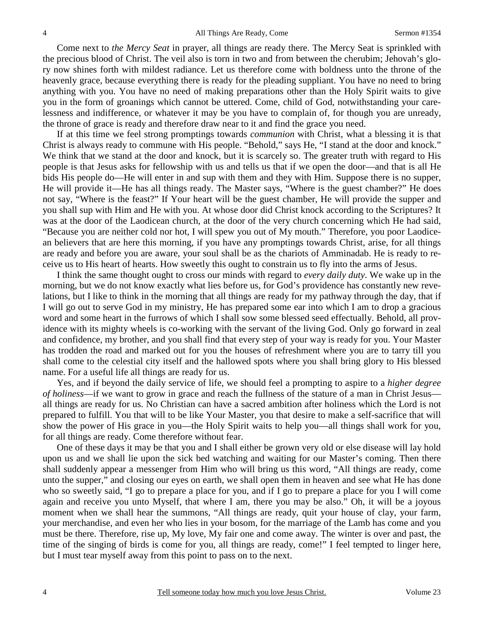Come next to *the Mercy Seat* in prayer, all things are ready there. The Mercy Seat is sprinkled with the precious blood of Christ. The veil also is torn in two and from between the cherubim; Jehovah's glory now shines forth with mildest radiance. Let us therefore come with boldness unto the throne of the heavenly grace, because everything there is ready for the pleading suppliant. You have no need to bring anything with you. You have no need of making preparations other than the Holy Spirit waits to give you in the form of groanings which cannot be uttered. Come, child of God, notwithstanding your carelessness and indifference, or whatever it may be you have to complain of, for though you are unready, the throne of grace is ready and therefore draw near to it and find the grace you need.

If at this time we feel strong promptings towards *communion* with Christ, what a blessing it is that Christ is always ready to commune with His people. "Behold," says He, "I stand at the door and knock." We think that we stand at the door and knock, but it is scarcely so. The greater truth with regard to His people is that Jesus asks for fellowship with us and tells us that if we open the door—and that is all He bids His people do—He will enter in and sup with them and they with Him. Suppose there is no supper, He will provide it—He has all things ready. The Master says, "Where is the guest chamber?" He does not say, "Where is the feast?" If Your heart will be the guest chamber, He will provide the supper and you shall sup with Him and He with you. At whose door did Christ knock according to the Scriptures? It was at the door of the Laodicean church, at the door of the very church concerning which He had said, "Because you are neither cold nor hot, I will spew you out of My mouth." Therefore, you poor Laodicean believers that are here this morning, if you have any promptings towards Christ, arise, for all things are ready and before you are aware, your soul shall be as the chariots of Amminadab. He is ready to receive us to His heart of hearts. How sweetly this ought to constrain us to fly into the arms of Jesus.

I think the same thought ought to cross our minds with regard to *every daily duty*. We wake up in the morning, but we do not know exactly what lies before us, for God's providence has constantly new revelations, but I like to think in the morning that all things are ready for my pathway through the day, that if I will go out to serve God in my ministry, He has prepared some ear into which I am to drop a gracious word and some heart in the furrows of which I shall sow some blessed seed effectually. Behold, all providence with its mighty wheels is co-working with the servant of the living God. Only go forward in zeal and confidence, my brother, and you shall find that every step of your way is ready for you. Your Master has trodden the road and marked out for you the houses of refreshment where you are to tarry till you shall come to the celestial city itself and the hallowed spots where you shall bring glory to His blessed name. For a useful life all things are ready for us.

Yes, and if beyond the daily service of life, we should feel a prompting to aspire to a *higher degree of holiness*—if we want to grow in grace and reach the fullness of the stature of a man in Christ Jesus all things are ready for us. No Christian can have a sacred ambition after holiness which the Lord is not prepared to fulfill. You that will to be like Your Master, you that desire to make a self-sacrifice that will show the power of His grace in you—the Holy Spirit waits to help you—all things shall work for you, for all things are ready. Come therefore without fear.

One of these days it may be that you and I shall either be grown very old or else disease will lay hold upon us and we shall lie upon the sick bed watching and waiting for our Master's coming. Then there shall suddenly appear a messenger from Him who will bring us this word, "All things are ready, come unto the supper," and closing our eyes on earth, we shall open them in heaven and see what He has done who so sweetly said, "I go to prepare a place for you, and if I go to prepare a place for you I will come again and receive you unto Myself, that where I am, there you may be also." Oh, it will be a joyous moment when we shall hear the summons, "All things are ready, quit your house of clay, your farm, your merchandise, and even her who lies in your bosom, for the marriage of the Lamb has come and you must be there. Therefore, rise up, My love, My fair one and come away. The winter is over and past, the time of the singing of birds is come for you, all things are ready, come!" I feel tempted to linger here, but I must tear myself away from this point to pass on to the next.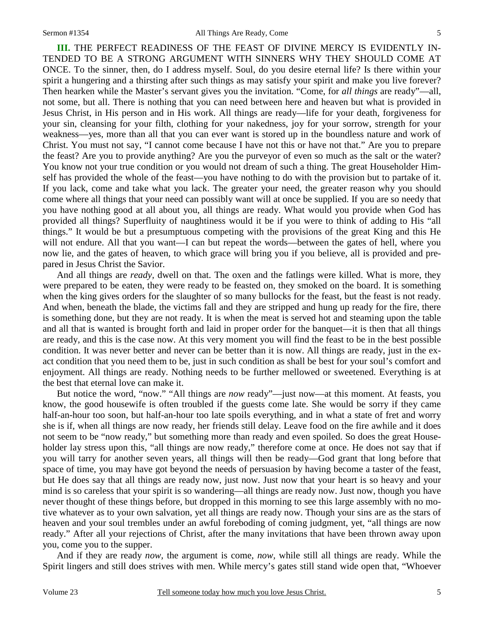**III.** THE PERFECT READINESS OF THE FEAST OF DIVINE MERCY IS EVIDENTLY IN-TENDED TO BE A STRONG ARGUMENT WITH SINNERS WHY THEY SHOULD COME AT ONCE. To the sinner, then, do I address myself. Soul, do you desire eternal life? Is there within your spirit a hungering and a thirsting after such things as may satisfy your spirit and make you live forever? Then hearken while the Master's servant gives you the invitation. "Come, for *all things* are ready"—all, not some, but all. There is nothing that you can need between here and heaven but what is provided in Jesus Christ, in His person and in His work. All things are ready—life for your death, forgiveness for your sin, cleansing for your filth, clothing for your nakedness, joy for your sorrow, strength for your weakness—yes, more than all that you can ever want is stored up in the boundless nature and work of Christ. You must not say, "I cannot come because I have not this or have not that." Are you to prepare the feast? Are you to provide anything? Are you the purveyor of even so much as the salt or the water? You know not your true condition or you would not dream of such a thing. The great Householder Himself has provided the whole of the feast—you have nothing to do with the provision but to partake of it. If you lack, come and take what you lack. The greater your need, the greater reason why you should come where all things that your need can possibly want will at once be supplied. If you are so needy that you have nothing good at all about you, all things are ready. What would you provide when God has provided all things? Superfluity of naughtiness would it be if you were to think of adding to His "all things." It would be but a presumptuous competing with the provisions of the great King and this He will not endure. All that you want—I can but repeat the words—between the gates of hell, where you now lie, and the gates of heaven, to which grace will bring you if you believe, all is provided and prepared in Jesus Christ the Savior.

And all things are *ready,* dwell on that. The oxen and the fatlings were killed. What is more, they were prepared to be eaten, they were ready to be feasted on, they smoked on the board. It is something when the king gives orders for the slaughter of so many bullocks for the feast, but the feast is not ready. And when, beneath the blade, the victims fall and they are stripped and hung up ready for the fire, there is something done, but they are not ready. It is when the meat is served hot and steaming upon the table and all that is wanted is brought forth and laid in proper order for the banquet—it is then that all things are ready, and this is the case now. At this very moment you will find the feast to be in the best possible condition. It was never better and never can be better than it is now. All things are ready, just in the exact condition that you need them to be, just in such condition as shall be best for your soul's comfort and enjoyment. All things are ready. Nothing needs to be further mellowed or sweetened. Everything is at the best that eternal love can make it.

But notice the word, "now." "All things are *now* ready"—just now—at this moment. At feasts, you know, the good housewife is often troubled if the guests come late. She would be sorry if they came half-an-hour too soon, but half-an-hour too late spoils everything, and in what a state of fret and worry she is if, when all things are now ready, her friends still delay. Leave food on the fire awhile and it does not seem to be "now ready," but something more than ready and even spoiled. So does the great Householder lay stress upon this, "all things are now ready," therefore come at once. He does not say that if you will tarry for another seven years, all things will then be ready—God grant that long before that space of time, you may have got beyond the needs of persuasion by having become a taster of the feast, but He does say that all things are ready now, just now. Just now that your heart is so heavy and your mind is so careless that your spirit is so wandering—all things are ready now. Just now, though you have never thought of these things before, but dropped in this morning to see this large assembly with no motive whatever as to your own salvation, yet all things are ready now. Though your sins are as the stars of heaven and your soul trembles under an awful foreboding of coming judgment, yet, "all things are now ready." After all your rejections of Christ, after the many invitations that have been thrown away upon you, come you to the supper.

And if they are ready *now,* the argument is come, *now,* while still all things are ready. While the Spirit lingers and still does strives with men. While mercy's gates still stand wide open that, "Whoever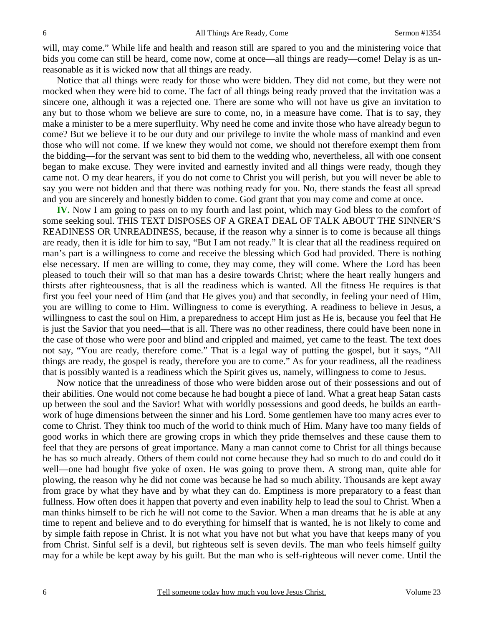will, may come." While life and health and reason still are spared to you and the ministering voice that bids you come can still be heard, come now, come at once—all things are ready—come! Delay is as unreasonable as it is wicked now that all things are ready.

Notice that all things were ready for those who were bidden. They did not come, but they were not mocked when they were bid to come. The fact of all things being ready proved that the invitation was a sincere one, although it was a rejected one. There are some who will not have us give an invitation to any but to those whom we believe are sure to come, no, in a measure have come. That is to say, they make a minister to be a mere superfluity. Why need he come and invite those who have already begun to come? But we believe it to be our duty and our privilege to invite the whole mass of mankind and even those who will not come. If we knew they would not come, we should not therefore exempt them from the bidding—for the servant was sent to bid them to the wedding who, nevertheless, all with one consent began to make excuse. They were invited and earnestly invited and all things were ready, though they came not. O my dear hearers, if you do not come to Christ you will perish, but you will never be able to say you were not bidden and that there was nothing ready for you. No, there stands the feast all spread and you are sincerely and honestly bidden to come. God grant that you may come and come at once.

**IV.** Now I am going to pass on to my fourth and last point, which may God bless to the comfort of some seeking soul. THIS TEXT DISPOSES OF A GREAT DEAL OF TALK ABOUT THE SINNER'S READINESS OR UNREADINESS, because, if the reason why a sinner is to come is because all things are ready, then it is idle for him to say, "But I am not ready." It is clear that all the readiness required on man's part is a willingness to come and receive the blessing which God had provided. There is nothing else necessary. If men are willing to come, they may come, they will come. Where the Lord has been pleased to touch their will so that man has a desire towards Christ; where the heart really hungers and thirsts after righteousness, that is all the readiness which is wanted. All the fitness He requires is that first you feel your need of Him (and that He gives you) and that secondly, in feeling your need of Him, you are willing to come to Him. Willingness to come is everything. A readiness to believe in Jesus, a willingness to cast the soul on Him, a preparedness to accept Him just as He is, because you feel that He is just the Savior that you need—that is all. There was no other readiness, there could have been none in the case of those who were poor and blind and crippled and maimed, yet came to the feast. The text does not say, "You are ready, therefore come." That is a legal way of putting the gospel, but it says, "All things are ready, the gospel is ready, therefore you are to come." As for your readiness, all the readiness that is possibly wanted is a readiness which the Spirit gives us, namely, willingness to come to Jesus.

Now notice that the unreadiness of those who were bidden arose out of their possessions and out of their abilities. One would not come because he had bought a piece of land. What a great heap Satan casts up between the soul and the Savior! What with worldly possessions and good deeds, he builds an earthwork of huge dimensions between the sinner and his Lord. Some gentlemen have too many acres ever to come to Christ. They think too much of the world to think much of Him. Many have too many fields of good works in which there are growing crops in which they pride themselves and these cause them to feel that they are persons of great importance. Many a man cannot come to Christ for all things because he has so much already. Others of them could not come because they had so much to do and could do it well—one had bought five yoke of oxen. He was going to prove them. A strong man, quite able for plowing, the reason why he did not come was because he had so much ability. Thousands are kept away from grace by what they have and by what they can do. Emptiness is more preparatory to a feast than fullness. How often does it happen that poverty and even inability help to lead the soul to Christ. When a man thinks himself to be rich he will not come to the Savior. When a man dreams that he is able at any time to repent and believe and to do everything for himself that is wanted, he is not likely to come and by simple faith repose in Christ. It is not what you have not but what you have that keeps many of you from Christ. Sinful self is a devil, but righteous self is seven devils. The man who feels himself guilty may for a while be kept away by his guilt. But the man who is self-righteous will never come. Until the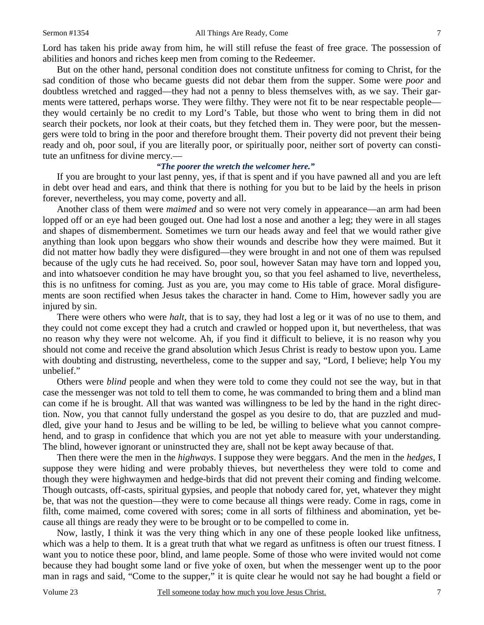Lord has taken his pride away from him, he will still refuse the feast of free grace. The possession of abilities and honors and riches keep men from coming to the Redeemer.

But on the other hand, personal condition does not constitute unfitness for coming to Christ, for the sad condition of those who became guests did not debar them from the supper. Some were *poor* and doubtless wretched and ragged—they had not a penny to bless themselves with, as we say. Their garments were tattered, perhaps worse. They were filthy. They were not fit to be near respectable people they would certainly be no credit to my Lord's Table, but those who went to bring them in did not search their pockets, nor look at their coats, but they fetched them in. They were poor, but the messengers were told to bring in the poor and therefore brought them. Their poverty did not prevent their being ready and oh, poor soul, if you are literally poor, or spiritually poor, neither sort of poverty can constitute an unfitness for divine mercy.—

### *"The poorer the wretch the welcomer here."*

If you are brought to your last penny, yes, if that is spent and if you have pawned all and you are left in debt over head and ears, and think that there is nothing for you but to be laid by the heels in prison forever, nevertheless, you may come, poverty and all.

Another class of them were *maimed* and so were not very comely in appearance—an arm had been lopped off or an eye had been gouged out. One had lost a nose and another a leg; they were in all stages and shapes of dismemberment. Sometimes we turn our heads away and feel that we would rather give anything than look upon beggars who show their wounds and describe how they were maimed. But it did not matter how badly they were disfigured—they were brought in and not one of them was repulsed because of the ugly cuts he had received. So, poor soul, however Satan may have torn and lopped you, and into whatsoever condition he may have brought you, so that you feel ashamed to live, nevertheless, this is no unfitness for coming. Just as you are, you may come to His table of grace. Moral disfigurements are soon rectified when Jesus takes the character in hand. Come to Him, however sadly you are injured by sin.

There were others who were *halt,* that is to say, they had lost a leg or it was of no use to them, and they could not come except they had a crutch and crawled or hopped upon it, but nevertheless, that was no reason why they were not welcome. Ah, if you find it difficult to believe, it is no reason why you should not come and receive the grand absolution which Jesus Christ is ready to bestow upon you. Lame with doubting and distrusting, nevertheless, come to the supper and say, "Lord, I believe; help You my unbelief."

Others were *blind* people and when they were told to come they could not see the way, but in that case the messenger was not told to tell them to come, he was commanded to bring them and a blind man can come if he is brought. All that was wanted was willingness to be led by the hand in the right direction. Now, you that cannot fully understand the gospel as you desire to do, that are puzzled and muddled, give your hand to Jesus and be willing to be led, be willing to believe what you cannot comprehend, and to grasp in confidence that which you are not yet able to measure with your understanding. The blind, however ignorant or uninstructed they are, shall not be kept away because of that.

Then there were the men in the *highways*. I suppose they were beggars. And the men in the *hedges,* I suppose they were hiding and were probably thieves, but nevertheless they were told to come and though they were highwaymen and hedge-birds that did not prevent their coming and finding welcome. Though outcasts, off-casts, spiritual gypsies, and people that nobody cared for, yet, whatever they might be, that was not the question—they were to come because all things were ready. Come in rags, come in filth, come maimed, come covered with sores; come in all sorts of filthiness and abomination, yet because all things are ready they were to be brought or to be compelled to come in.

Now, lastly, I think it was the very thing which in any one of these people looked like unfitness, which was a help to them. It is a great truth that what we regard as unfitness is often our truest fitness. I want you to notice these poor, blind, and lame people. Some of those who were invited would not come because they had bought some land or five yoke of oxen, but when the messenger went up to the poor man in rags and said, "Come to the supper," it is quite clear he would not say he had bought a field or